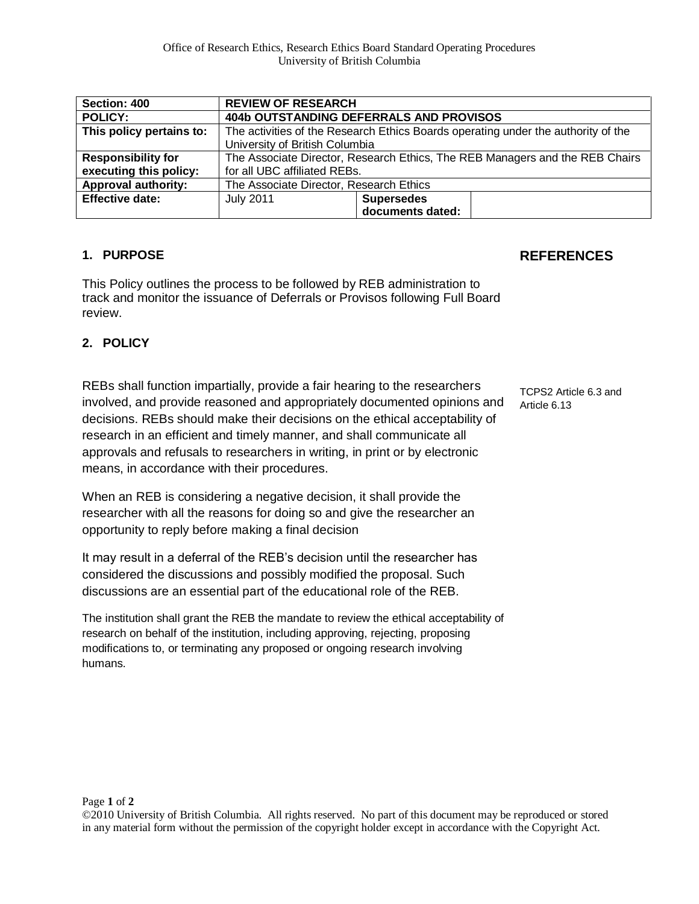| Section: 400               | <b>REVIEW OF RESEARCH</b>                                                         |                   |  |
|----------------------------|-----------------------------------------------------------------------------------|-------------------|--|
| <b>POLICY:</b>             | <b>404b OUTSTANDING DEFERRALS AND PROVISOS</b>                                    |                   |  |
| This policy pertains to:   | The activities of the Research Ethics Boards operating under the authority of the |                   |  |
|                            | University of British Columbia                                                    |                   |  |
| <b>Responsibility for</b>  | The Associate Director, Research Ethics, The REB Managers and the REB Chairs      |                   |  |
| executing this policy:     | for all UBC affiliated REBs.                                                      |                   |  |
| <b>Approval authority:</b> | The Associate Director, Research Ethics                                           |                   |  |
| <b>Effective date:</b>     | <b>July 2011</b>                                                                  | <b>Supersedes</b> |  |
|                            |                                                                                   | documents dated:  |  |

## **1. PURPOSE**

This Policy outlines the process to be followed by REB administration to track and monitor the issuance of Deferrals or Provisos following Full Board review.

## **2. POLICY**

REBs shall function impartially, provide a fair hearing to the researchers involved, and provide reasoned and appropriately documented opinions and decisions. REBs should make their decisions on the ethical acceptability of research in an efficient and timely manner, and shall communicate all approvals and refusals to researchers in writing, in print or by electronic means, in accordance with their procedures.

TCPS2 Article 6.3 and Article 6.13

**REFERENCES**

When an REB is considering a negative decision, it shall provide the researcher with all the reasons for doing so and give the researcher an opportunity to reply before making a final decision

It may result in a deferral of the REB's decision until the researcher has considered the discussions and possibly modified the proposal. Such discussions are an essential part of the educational role of the REB.

The institution shall grant the REB the mandate to review the ethical acceptability of research on behalf of the institution, including approving, rejecting, proposing modifications to, or terminating any proposed or ongoing research involving humans.